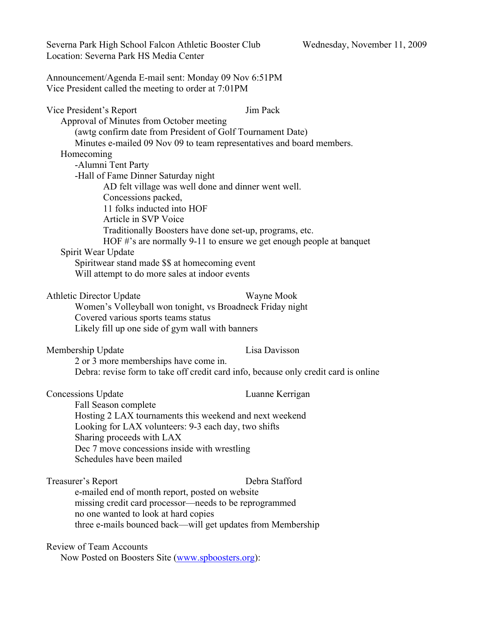| Severna Park High School Falcon Athletic Booster Club<br>Location: Severna Park HS Media Center                                                                                                                                                                                                                                                                                                                                                                                                                                                                                                                                                                                       | Wednesday, November 11, 2009 |
|---------------------------------------------------------------------------------------------------------------------------------------------------------------------------------------------------------------------------------------------------------------------------------------------------------------------------------------------------------------------------------------------------------------------------------------------------------------------------------------------------------------------------------------------------------------------------------------------------------------------------------------------------------------------------------------|------------------------------|
| Announcement/Agenda E-mail sent: Monday 09 Nov 6:51PM<br>Vice President called the meeting to order at 7:01PM                                                                                                                                                                                                                                                                                                                                                                                                                                                                                                                                                                         |                              |
| Vice President's Report<br>Approval of Minutes from October meeting<br>(awtg confirm date from President of Golf Tournament Date)<br>Minutes e-mailed 09 Nov 09 to team representatives and board members.<br>Homecoming<br>-Alumni Tent Party<br>-Hall of Fame Dinner Saturday night<br>AD felt village was well done and dinner went well.<br>Concessions packed,<br>11 folks inducted into HOF<br>Article in SVP Voice<br>Traditionally Boosters have done set-up, programs, etc.<br>HOF #'s are normally 9-11 to ensure we get enough people at banquet<br>Spirit Wear Update<br>Spiritwear stand made \$\$ at homecoming event<br>Will attempt to do more sales at indoor events | Jim Pack                     |
| <b>Athletic Director Update</b><br>Women's Volleyball won tonight, vs Broadneck Friday night<br>Covered various sports teams status<br>Likely fill up one side of gym wall with banners                                                                                                                                                                                                                                                                                                                                                                                                                                                                                               | Wayne Mook                   |
| Membership Update<br>2 or 3 more memberships have come in.<br>Debra: revise form to take off credit card info, because only credit card is online                                                                                                                                                                                                                                                                                                                                                                                                                                                                                                                                     | Lisa Davisson                |
| <b>Concessions Update</b><br>Fall Season complete<br>Hosting 2 LAX tournaments this weekend and next weekend<br>Looking for LAX volunteers: 9-3 each day, two shifts<br>Sharing proceeds with LAX<br>Dec 7 move concessions inside with wrestling<br>Schedules have been mailed                                                                                                                                                                                                                                                                                                                                                                                                       | Luanne Kerrigan              |
| Treasurer's Report<br>e-mailed end of month report, posted on website<br>missing credit card processor—needs to be reprogrammed<br>no one wanted to look at hard copies<br>three e-mails bounced back—will get updates from Membership                                                                                                                                                                                                                                                                                                                                                                                                                                                | Debra Stafford               |
| <b>Review of Team Accounts</b><br>Now Posted on Boosters Site (www.spboosters.org):                                                                                                                                                                                                                                                                                                                                                                                                                                                                                                                                                                                                   |                              |